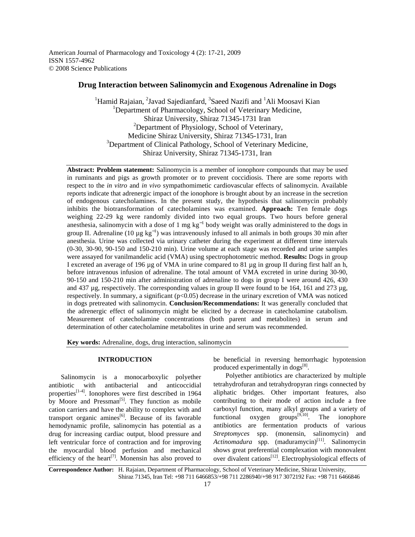American Journal of Pharmacology and Toxicology 4 (2): 17-21, 2009 ISSN 1557-4962 © 2008 Science Publications

# **Drug Interaction between Salinomycin and Exogenous Adrenaline in Dogs**

 $1$ Hamid Rajaian,  $2$ Javad Sajedianfard,  $3$ Saeed Nazifi and  $1$ Ali Moosavi Kian <sup>1</sup>Department of Pharmacology, School of Veterinary Medicine, Shiraz University, Shiraz 71345-1731 Iran <sup>2</sup>Department of Physiology, School of Veterinary, Medicine Shiraz University, Shiraz 71345-1731, Iran <sup>3</sup>Department of Clinical Pathology, School of Veterinary Medicine, Shiraz University, Shiraz 71345-1731, Iran

**Abstract: Problem statement:** Salinomycin is a member of ionophore compounds that may be used in ruminants and pigs as growth promoter or to prevent coccidiosis. There are some reports with respect to the *in vitro* and *in vivo* sympathomimetic cardiovascular effects of salinomycin. Available reports indicate that adrenergic impact of the ionophore is brought about by an increase in the secretion of endogenous catecholamines. In the present study, the hypothesis that salinomycin probably inhibits the biotransformation of catecholamines was examined. **Approach:** Ten female dogs weighing 22-29 kg were randomly divided into two equal groups. Two hours before general anesthesia, salinomycin with a dose of 1 mg  $kg^{-1}$  body weight was orally administered to the dogs in group II. Adrenaline (10  $\mu$ g kg<sup>-1</sup>) was intravenously infused to all animals in both groups 30 min after anesthesia. Urine was collected via urinary catheter during the experiment at different time intervals (0-30, 30-90, 90-150 and 150-210 min). Urine volume at each stage was recorded and urine samples were assayed for vanilmandelic acid (VMA) using spectrophotometric method. **Results:** Dogs in group I excreted an average of 196 µg of VMA in urine compared to 81 µg in group II during first half an h, before intravenous infusion of adrenaline. The total amount of VMA excreted in urine during 30-90, 90-150 and 150-210 min after administration of adrenaline to dogs in group I were around 426, 430 and 437 µg, respectively. The corresponding values in group II were found to be 164, 161 and 273 µg, respectively. In summary, a significant  $(p<0.05)$  decrease in the urinary excretion of VMA was noticed in dogs pretreated with salinomycin. **Conclusion/Recommendations:** It was generally concluded that the adrenergic effect of salinomycin might be elicited by a decrease in catecholamine catabolism. Measurement of catecholamine concentrations (both parent and metabolites) in serum and determination of other catecholamine metabolites in urine and serum was recommended.

**Key words:** Adrenaline, dogs, drug interaction, salinomycin

## **INTRODUCTION**

 Salinomycin is a monocarboxylic polyether antibiotic with antibacterial and anticoccidial properties[1-4]. Ionophores were first described in 1964 by Moore and Pressman<sup>[5]</sup>. They function as mobile cation carriers and have the ability to complex with and transport organic amines<sup>[6]</sup>. Because of its favorable hemodynamic profile, salinomycin has potential as a drug for increasing cardiac output, blood pressure and left ventricular force of contraction and for improving the myocardial blood perfusion and mechanical efficiency of the heart<sup>[7]</sup>. Monensin has also proved to

be beneficial in reversing hemorrhagic hypotension produced experimentally in dogs<sup>[8]</sup>.

 Polyether antibiotics are characterized by multiple tetrahydrofuran and tetrahydropyran rings connected by aliphatic bridges. Other important features, also contributing to their mode of action include a free carboxyl function, many alkyl groups and a variety of functional oxygen groups $[9,10]$ . The ionophore antibiotics are fermentation products of various *Streptomyces* spp. (monensin, salinomycin) and *Actinomadura* spp. (maduramycin)[11]. Salinomycin shows great preferential complexation with monovalent over divalent cations<sup>[12]</sup>. Electrophysiological effects of

**Correspondence Author:** H. Rajaian, Department of Pharmacology, School of Veterinary Medicine, Shiraz University, Shiraz 71345, Iran Tel: +98 711 6466853/+98 711 2286940/+98 917 3072192 Fax: +98 711 6466846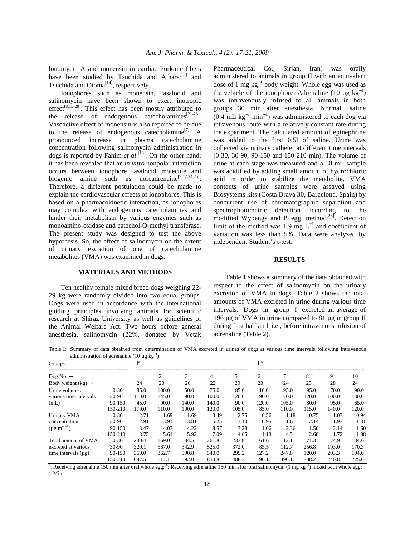lonomycin A and monensin in cardiac Purkinje fibers have been studied by Tsuchida and Aihara<sup>[13]</sup> and Tsuchida and Otoma $^{[14]}$ , respectively.

 Ionophores such as monensin, lasalocid and salinomycin have been shown to exert inotropic effect<sup>[8,15-20]</sup>. This effect has been mostly attributed to the release of endogenous catecholamines<sup>[21-23]</sup>. Vasoactive effect of monensin is also reported to be due to the release of endogenous catecholamine $^{[7]}$ . A pronounced increase in plasma catecholamine concentration following salinomycin administration in dogs is reported by Fahim *et al*. [18]. On the other hand, it has been revealed that an *in vitro* nonpolar interaction occurs between ionophore lasalocid molecule and biogenic amine such as noreadrenaine<sup>[9,17,24,25]</sup>. Therefore, a different postulation could be made to explain the cardiovascular effects of ionophores. This is based on a pharmacokinetic interaction, as ionophores may complex with endogenous catecholamines and hinder their metabolism by various enzymes such as monoamino-oxidase and catechol-O-methyl transferase. The present study was designed to test the above hypothesis. So, the effect of salinomycin on the extent of urinary excretion of one of catecholamine metabolites (VMA) was examined in dogs.

Pharmaceutical Co., Sirjan, Iran) was orally administered to animals in group II with an equivalent dose of 1 mg  $kg^{-1}$  body weight. Whole egg was used as the vehicle of the ionophore. Adrenaline (10  $\mu$ g kg<sup>-1</sup>) was intravenously infused to all animals in both groups 30 min after anesthesia. Normal saline  $(0.4 \text{ mL kg}^{-1} \text{ min}^{-1})$  was administered to each dog via intravenous route with a relatively constant rate during the experiment. The calculated amount of epinephrine was added to the first 0.5l of saline. Urine was collected via urinary catheter at different time intervals (0-30, 30-90, 90-150 and 150-210 min). The volume of urine at each stage was measured and a 50 mL sample was acidified by adding small amount of hydrochloric acid in order to stabilize the metabolite. VMA contents of urine samples were assayed using Biosystems kits (Costa Brava 30, Barcelona, Spain) by concurrent use of chromatographic separation and spectrophotometric detection according to the modified Wybenga and Pileggi method $[26]$ . Detection limit of the method was 1.9 mg  $L^{-1}$  and coefficient of variation was less than 5%. Data were analyzed by independent Student's t-test.

## **RESULTS**

## **MATERIALS AND METHODS**

 Ten healthy female mixed breed dogs weighing 22- 29 kg were randomly divided into two equal groups. Dogs were used in accordance with the international guiding principles involving animals for scientific research at Shiraz University as well as guidelines of the Animal Welfare Act. Two hours before general anesthesia, salinomycin (22%, donated by Vetak

 Table 1 shows a summary of the data obtained with respect to the effect of salinomycin on the urinary excretion of VMA in dogs. Table 2 shows the total amounts of VMA excreted in urine during various time intervals. Dogs in group I excreted an average of 196 µg of VMA in urine compared to 81 µg in group II during first half an h i.e., before intravenous infusion of adrenaline (Table 2).

Table 1: Summary of data obtained from determination of VMA excreted in urines of dogs at various time intervals following intravenous administration of adrenaline (10  $\mu$ g kg<sup>-1</sup>)

| Groups                                                                 |                  | $\sqrt{2}$<br>Ta |       |       |       |       | $\Pi_{\rm p}$ |       |       |       |       |
|------------------------------------------------------------------------|------------------|------------------|-------|-------|-------|-------|---------------|-------|-------|-------|-------|
| Dog No. $\rightarrow$                                                  |                  |                  | 2     | 3     | 4     | 5     | 6             |       | 8     | 9     | 10    |
| Body weight $(kg) \rightarrow$                                         |                  | 24               | 23    | 26    | 22    | 29    | 23            | 24    | 25    | 28    | 24    |
| Urine volume at                                                        | $0 - 30^{\circ}$ | 85.0             | 100.0 | 50.0  | 75.0  | 85.0  | 110.0         | 95.0  | 95.0  | 70.0  | 90.0  |
| various time intervals<br>(mL)                                         | $30-90$          | 110.0            | 145.0 | 90.0  | 100.0 | 120.0 | 90.0          | 70.0  | 120.0 | 100.0 | 130.0 |
|                                                                        | 90-150           | 45.0             | 90.0  | 140.0 | 140.0 | 90.0  | 120.0         | 105.0 | 80.0  | 95.0  | 65.0  |
|                                                                        | 150-210          | 170.0            | 110.0 | 100.0 | 120.0 | 105.0 | 85.0          | 110.0 | 115.0 | 140.0 | 120.0 |
| Urinary VMA                                                            | $0 - 30$         | 2.71             | 1.69  | 1.69  | 3.49  | 2.75  | 0.56          | 1.18  | 0.75  | 1.07  | 0.94  |
| concentration<br>$(\mu g \, mL^{-1})$                                  | 30-90            | 2.91             | 3.91  | 3.81  | 5.25  | 3.10  | 0.95          | 1.61  | 2.14  | 1.93  | 1.31  |
|                                                                        | 90-150           | 3.47             | 4.03  | 4.22  | 8.57  | 3.28  | 1.06          | 2.36  | 1.50  | 2.14  | 1.60  |
|                                                                        | 150-210          | 3.75             | 5.61  | 5.92  | 7.09  | 4.65  | 1.13          | 4.51  | 2.68  | 1.72  | 1.88  |
| Total amount of VMA<br>excreted at various<br>time intervals $(\mu g)$ | $0 - 30$         | 230.4            | 169.0 | 84.5  | 261.8 | 233.8 | 61.6          | 112.1 | 71.3  | 74.9  | 84.6  |
|                                                                        | $30-90$          | 320.1            | 567.0 | 342.9 | 525.0 | 372.0 | 85.5          | 112.7 | 256.8 | 193.0 | 170.3 |
|                                                                        | 90-150           | 360.0            | 362.7 | 590.8 | 540.0 | 295.2 | 127.2         | 247.8 | 120.0 | 203.3 | 104.0 |
|                                                                        | 150-210          | 637.5            | 617.1 | 592.0 | 850.8 | 488.3 | 96.1          | 496.1 | 308.2 | 240.8 | 225.6 |

<sup>a</sup>: Receiving adrenaline 150 min after oral whole egg; <sup>b</sup>: Receiving adrenaline 150 min after oral salinomycin (1 mg kg<sup>-1</sup>) mixed with whole egg; c : Min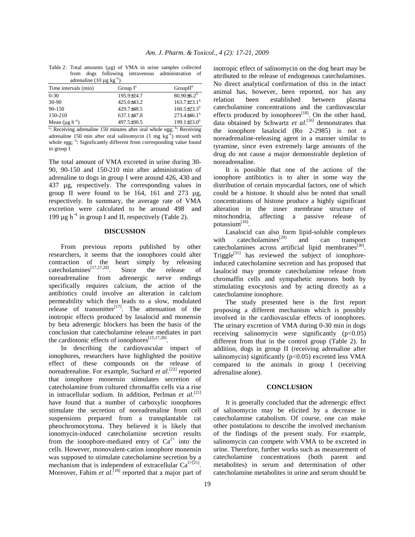|  | Table 2: Total amounts (ug) of VMA in urine samples collected |  |  |  |
|--|---------------------------------------------------------------|--|--|--|
|  | from dogs following intravenous administration of             |  |  |  |
|  | adrenaline $(10 \mu g kg^{-1})$                               |  |  |  |

| ------- (- - - - - - -                      |                                                             |                               |
|---------------------------------------------|-------------------------------------------------------------|-------------------------------|
| Time intervals (min)                        | Group $I^a$                                                 | $GroupII^{\circ}$             |
| $0 - 30$                                    | 195.9±24.7                                                  | $80.90 \pm 6.2$ <sup>S</sup>  |
| 30-90                                       | 425.6±43.2                                                  | $163.7 \pm 23.1^S$            |
| 90-150                                      | 429.7±48.5                                                  | $160.5 \pm 23.3$ <sup>S</sup> |
| 150-210                                     | 637.1±47.8                                                  | $273.4 \pm 46.1$ <sup>s</sup> |
| Mean $(\mu g h^{-1})$                       | 497.5±30.5                                                  | $199.1 \pm 23.0^s$            |
| $a \rightarrow$<br>$\cdot$<br>$\sim$ $\sim$ | $\mathcal{C}$<br><b>Contract Contract Contract Contract</b> | $\mathbf{r}$                  |

<sup>a</sup>: Receiving adrenaline 150 minutes after oral whole egg; <sup>b</sup>: Receiving adrenaline 150 min after oral salinomycin  $(1 \text{ mg kg}^{-1})$  mixed with whole egg; <sup>S</sup>: Significantly different from corresponding value found in group I

The total amount of VMA excreted in urine during 30- 90, 90-150 and 150-210 min after administration of adrenaline to dogs in group I were around 426, 430 and 437 µg, respectively. The corresponding values in group II were found to be 164, 161 and 273 µg, respectively. In summary, the average rate of VMA excretion were calculated to be around 498 and 199 µg h<sup>−</sup><sup>1</sup> in group I and II, respectively (Table 2).

## **DISCUSSION**

 From previous reports published by other researchers, it seems that the ionophores could alter contraction of the heart simply by releasing  $\text{catecholamines}^{[17,27,28]}$ . Since the release of noreadrenaline from adrenergic nerve endings specifically requires calcium, the action of the antibiotics could involve an alteration in calcium permeability which then leads to a slow, modulated release of transmitter $[17]$ . The attenuation of the inotropic effects produced by lasalocid and monensin by beta adrenergic blockers has been the basis of the conclusion that catecholamine release mediates in part the cardiotonic effects of ionophores $^{[15,17,28]}$ .

 In describing the cardiovascular impact of ionophores, researchers have highlighted the positive effect of these compounds on the release of noreadrenaline. For example, Suchard *et al.*<sup>[22]</sup> reported that ionophore monensin stimulates secretion of catecholamine from cultured chromaffin cells via a rise in intracellular sodium. In addition, Perlman *et al.*<sup>[21]</sup> have found that a number of carboxylic ionophores stimulate the secretion of noreadrenaline from cell suspensions prepared from a transplantable rat pheochromocytoma. They believed it is likely that ionomycin-induced catecholamine secretion results from the ionophore-mediated entry of  $Ca^{2+}$  into the cells. However, monovalent-cation ionophore monensin was supposed to stimulate catecholamine secretion by a mechanism that is independent of extracellular  $Ca^{2+[21]}$ . Moreover, Fahim *et al*.<sup>[18]</sup> reported that a major part of inotropic effect of salinomycin on the dog heart may be attributed to the release of endogenous catecholamines. No direct analytical confirmation of this in the intact animal has, however, been reported, nor has any relation been established between plasma catecholamine concentrations and the cardiovascular effects produced by ionophores<sup>[18]</sup>. On the other hand, data obtained by Schwartz *et al*. [16] demonstrates that the ionophore lasalocid (Ro 2-2985) is not a noreadrenaline-releasing agent in a manner similar to tyramine, since even extremely large amounts of the drug do not cause a major demonstrable depletion of noreadrenaline.

 It is possible that one of the actions of the ionophore antibiotics is to alter in some way the distribution of certain myocardial factors, one of which could be a histone. It should also be noted that small concentrations of histone produce a highly significant alteration in the inner membrane structure of mitochondria, affecting a passive release of potassium<sup>[16]</sup>.

 Lasalocid can also form lipid-soluble complexes with catecholamines<sup>[29]</sup> and can transport catecholamines across artificial lipid membranes<sup>[30]</sup>. Triggle $^{[31]}$  has reviewed the subject of ionophoreinduced catecholamine secretion and has proposed that lasalocid may promote catecholamine release from chromaffin cells and sympathetic neurons both by stimulating exocytosis and by acting directly as a catecholamine ionophore.

 The study presented here is the first report proposing a different mechanism which is possibly involved in the cardiovascular effects of ionophores. The urinary excretion of VMA during 0-30 min in dogs receiving salinomycin were significantly  $(p<0.05)$ different from that in the control group (Table 2). In addition, dogs in group II (receiving adrenaline after salinomycin) significantly  $(p<0.05)$  excreted less VMA compared to the animals in group I (receiving adrenaline alone).

## **CONCLUSION**

 It is generally concluded that the adrenergic effect of salinomycin may be elicited by a decrease in catecholamine catabolism. Of course, one can make other postulations to describe the involved mechanism of the findings of the present study. For example, salinomycin can compete with VMA to be excreted in urine. Therefore, further works such as measurement of catecholamine concentrations (both parent and metabolites) in serum and determination of other catecholamine metabolites in urine and serum should be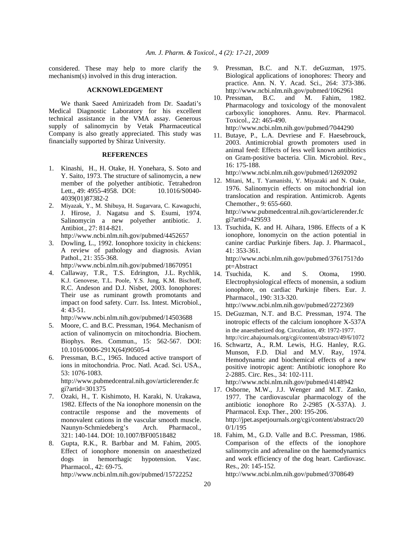considered. These may help to more clarify the mechanism(s) involved in this drug interaction.

## **ACKNOWLEDGEMENT**

 We thank Saeed Amirizadeh from Dr. Saadati's Medical Diagnostic Laboratory for his excellent technical assistance in the VMA assay. Generous supply of salinomycin by Vetak Pharmaceutical Company is also greatly appreciated. This study was financially supported by Shiraz University.

#### **REFERENCES**

- 1. Kinashi, H., H. Otake, H. Yonehara, S. Soto and Y. Saito, 1973. The structure of salinomycin, a new member of the polyether antibiotic. Tetrahedron Lett., 49: 4955-4958. DOI: 10.1016/S0040-4039(01)87382-2
- 2. Miyazak, Y., M. Shibuya, H. Sugarvara, C. Kawaguchi, J. Hirose, J. Nagatsu and S. Esumi, 1974. Salinomycin a new polyether antibiotic. J. Antibiot., 27: 814-821. http://www.ncbi.nlm.nih.gov/pubmed/4452657
- 3. Dowling, L., 1992. Ionophore toxicity in chickens: A review of pathology and diagnosis. Avian Pathol., 21: 355-368.

http://www.ncbi.nlm.nih.gov/pubmed/18670951

4. Callaway, T.R., T.S. Edrington, J.L. Rychlik, K.J. Genovese, T.L. Poole, Y.S. Jung, K.M. Bischoff, R.C. Andeson and D.J. Nisbet, 2003. Ionophores: Their use as ruminant growth promotants and impact on food safety. Curr. Iss. Intest. Microbiol., 4: 43-51.

http://www.ncbi.nlm.nih.gov/pubmed/14503688

- 5. Moore, C. and B.C. Pressman, 1964. Mechanism of action of valinomycin on mitochondria. Biochem. Biophys. Res. Commun., 15: 562-567. DOI: 10.1016/0006-291X(64)90505-4
- 6. Pressman, B.C., 1965. Induced active transport of ions in mitochondria. Proc. Natl. Acad. Sci. USA., 53: 1076-1083. http://www.pubmedcentral.nih.gov/articlerender.fc
- gi?artid=301375 7. Ozaki, H., T. Kishimoto, H. Karaki, N. Urakawa, 1982. Effects of the Na ionophore monensin on the contractile response and the movements of monovalent cations in the vascular smooth muscle. Naunyn-Schmiedeberg's Arch. Pharmacol., 321: 140-144. DOI: 10.1007/BF00518482
- 8. Gupta, R.K., R. Barbbar and M. Fahim, 2005. Effect of ionophore monensin on anaesthetized dogs in hemorrhagic hypotension. Vasc. Pharmacol., 42: 69-75.

http://www.ncbi.nlm.nih.gov/pubmed/15722252

- 9. Pressman, B.C. and N.T. deGuzman, 1975. Biological applications of ionophores: Theory and practice. Ann. N. Y. Acad. Sci., 264: 373-386. http://www.ncbi.nlm.nih.gov/pubmed/1062961
- 10. Pressman, B.C. and M. Fahim, 1982. Pharmacology and toxicology of the monovalent carboxylic ionophores. Annu. Rev. Pharmacol. Toxicol., 22: 465-490.

http://www.ncbi.nlm.nih.gov/pubmed/7044290

11. Butaye, P., L.A. Devriese and F. Haesebrouck, 2003. Antimicrobial growth promoters used in animal feed: Effects of less well known antibiotics on Gram-positive bacteria. Clin. Microbiol. Rev., 16: 175-188.

http://www.ncbi.nlm.nih.gov/pubmed/12692092

- 12. Mitani, M., T. Yamanishi, Y. Miyazaki and N. Otake, 1976. Salinomycin effects on mitochondrial ion translocation and respiration. Antimicrob. Agents Chemother., 9: 655-660. http://www.pubmedcentral.nih.gov/articlerender.fc gi?artid=429593
- 13. Tsuchida, K. and H. Aihara, 1986. Effects of a K ionophore, lonomycin on the action potential in canine cardiac Purkinje fibers. Jap. J. Pharmacol., 41: 353-361.

http://www.ncbi.nlm.nih.gov/pubmed/3761751?do pt=Abstract

- 14. Tsuchida, K. and S. Otoma, 1990. Electrophysiological effects of monensin, a sodium ionophore, on cardiac Purkinje fibers. Eur. J. Pharmacol., 190: 313-320. http://www.ncbi.nlm.nih.gov/pubmed/2272369
- 15. DeGuzman, N.T. and B.C. Pressman, 1974. The inotropic effects of the calcium ionophore X-537A in the anaesthetized dog. Circulation, 49: 1972-1977. http://circ.ahajournals.org/cgi/content/abstract/49/6/1072
- 16. Schwartz, A., R.M. Lewis, H.G. Hanley, R.G. Munson, F.D. Dial and M.V. Ray, 1974. Hemodynamic and biochemical effects of a new positive inotropic agent: Antibiotic ionophore Ro 2-2885. Circ. Res., 34: 102-111. http://www.ncbi.nlm.nih.gov/pubmed/4148942
- 17. Osborne, M.W., J.J. Wenger and M.T. Zanko, 1977. The cardiovascular pharmacology of the antibiotic ionophore Ro  $2-2985$  (X-537A). J. Pharmacol. Exp. Ther., 200: 195-206. http://jpet.aspetjournals.org/cgi/content/abstract/20 0/1/195
- 18. Fahim, M., G.D. Valle and B.C. Pressman, 1986. Comparison of the effects of the ionophore salinomycin and adrenaline on the haemodynamics and work efficiency of the dog heart. Cardiovasc. Res., 20: 145-152.

http://www.ncbi.nlm.nih.gov/pubmed/3708649